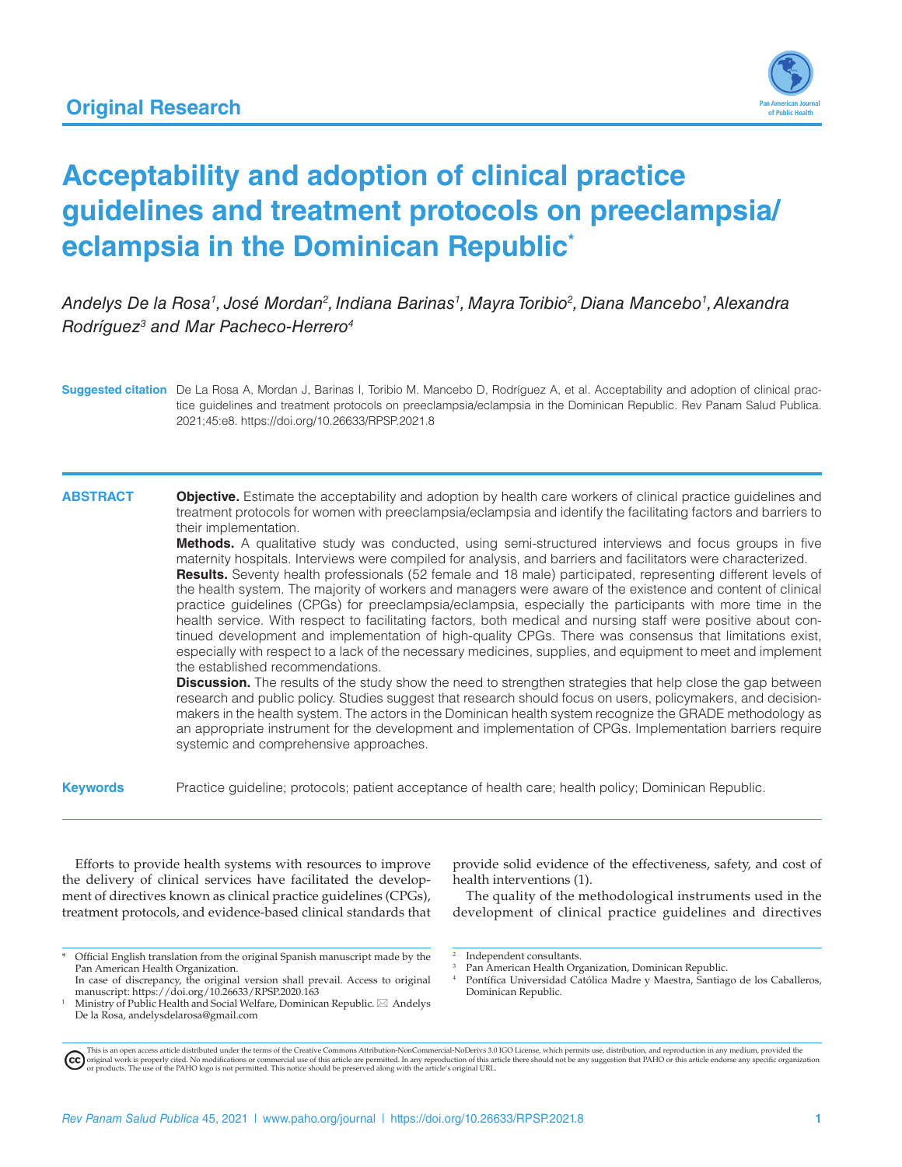

# **Acceptability and adoption of clinical practice guidelines and treatment protocols on preeclampsia/ eclampsia in the Dominican Republic\***

*Andelys De la Rosa1 , José Mordan2 , Indiana Barinas1 , Mayra Toribio2 , Diana Mancebo1 , Alexandra Rodríguez3 and Mar Pacheco-Herrero4*

**Suggested citation** De La Rosa A, Mordan J, Barinas I, Toribio M. Mancebo D, Rodríguez A, et al. Acceptability and adoption of clinical practice guidelines and treatment protocols on preeclampsia/eclampsia in the Dominican Republic. Rev Panam Salud Publica. 2021;45:e8. <https://doi.org/10.26633/RPSP.2021.8>

#### **ABSTRACT Objective.** Estimate the acceptability and adoption by health care workers of clinical practice guidelines and treatment protocols for women with preeclampsia/eclampsia and identify the facilitating factors and barriers to their implementation.

**Methods.** A qualitative study was conducted, using semi-structured interviews and focus groups in five maternity hospitals. Interviews were compiled for analysis, and barriers and facilitators were characterized. **Results.** Seventy health professionals (52 female and 18 male) participated, representing different levels of the health system. The majority of workers and managers were aware of the existence and content of clinical

practice guidelines (CPGs) for preeclampsia/eclampsia, especially the participants with more time in the health service. With respect to facilitating factors, both medical and nursing staff were positive about continued development and implementation of high-quality CPGs. There was consensus that limitations exist, especially with respect to a lack of the necessary medicines, supplies, and equipment to meet and implement the established recommendations.

**Discussion.** The results of the study show the need to strengthen strategies that help close the gap between research and public policy. Studies suggest that research should focus on users, policymakers, and decisionmakers in the health system. The actors in the Dominican health system recognize the GRADE methodology as an appropriate instrument for the development and implementation of CPGs. Implementation barriers require systemic and comprehensive approaches.

**Keywords** Practice guideline; protocols; patient acceptance of health care; health policy; Dominican Republic.

Efforts to provide health systems with resources to improve the delivery of clinical services have facilitated the development of directives known as clinical practice guidelines (CPGs), treatment protocols, and evidence-based clinical standards that

provide solid evidence of the effectiveness, safety, and cost of health interventions (1).

The quality of the methodological instruments used in the development of clinical practice guidelines and directives

<sup>\*</sup> Official English translation from the original Spanish manuscript made by the Pan American Health Organization.

In case of discrepancy, the original version shall prevail. Access to original manuscript: <https://doi.org/10.26633/RPSP.2020.163> <sup>1</sup> Ministry of Public Health and Social Welfare, Dominican Republic. \*   Andelys

De la Rosa, [andelysdelarosa@gmail.com](mailto:andelysdelarosa@gmail.com)

Independent consultants.

Pan American Health Organization, Dominican Republic.

Pontífica Universidad Católica Madre y Maestra, Santiago de los Caballeros, Dominican Republic.

This is an open access article distributed under the terms of the [Creative Commons Attribution-NonCommercial-NoDerivs 3.0 IGO License](https://creativecommons.org/licenses/by-nc-nd/3.0/igo/legalcode), which permits use, distribution, and reproduction in any medium, provided the<br>orignal w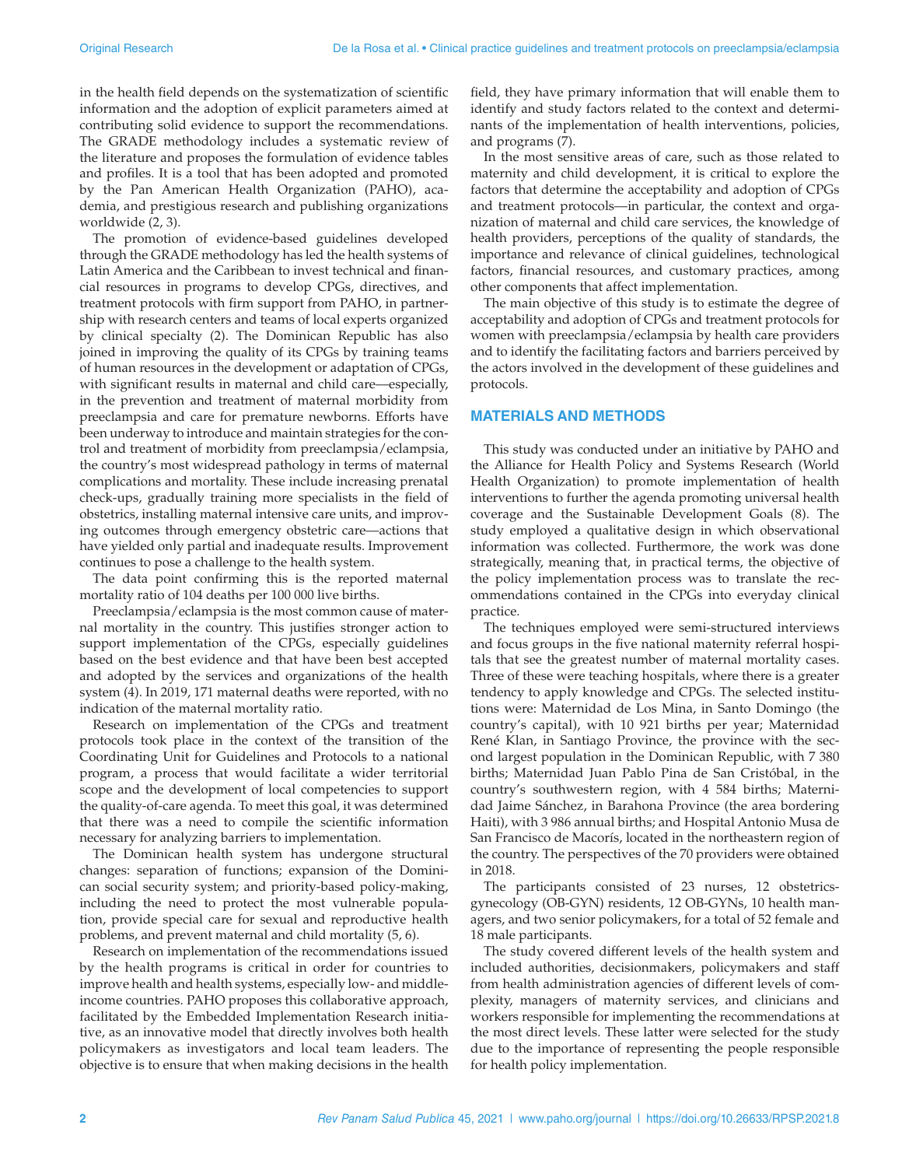in the health field depends on the systematization of scientific information and the adoption of explicit parameters aimed at contributing solid evidence to support the recommendations. The GRADE methodology includes a systematic review of the literature and proposes the formulation of evidence tables and profiles. It is a tool that has been adopted and promoted by the Pan American Health Organization (PAHO), academia, and prestigious research and publishing organizations worldwide (2, 3).

The promotion of evidence-based guidelines developed through the GRADE methodology has led the health systems of Latin America and the Caribbean to invest technical and financial resources in programs to develop CPGs, directives, and treatment protocols with firm support from PAHO, in partnership with research centers and teams of local experts organized by clinical specialty (2). The Dominican Republic has also joined in improving the quality of its CPGs by training teams of human resources in the development or adaptation of CPGs, with significant results in maternal and child care—especially, in the prevention and treatment of maternal morbidity from preeclampsia and care for premature newborns. Efforts have been underway to introduce and maintain strategies for the control and treatment of morbidity from preeclampsia/eclampsia, the country's most widespread pathology in terms of maternal complications and mortality. These include increasing prenatal check-ups, gradually training more specialists in the field of obstetrics, installing maternal intensive care units, and improving outcomes through emergency obstetric care––actions that have yielded only partial and inadequate results. Improvement continues to pose a challenge to the health system.

The data point confirming this is the reported maternal mortality ratio of 104 deaths per 100 000 live births.

Preeclampsia/eclampsia is the most common cause of maternal mortality in the country. This justifies stronger action to support implementation of the CPGs, especially guidelines based on the best evidence and that have been best accepted and adopted by the services and organizations of the health system (4). In 2019, 171 maternal deaths were reported, with no indication of the maternal mortality ratio.

Research on implementation of the CPGs and treatment protocols took place in the context of the transition of the Coordinating Unit for Guidelines and Protocols to a national program, a process that would facilitate a wider territorial scope and the development of local competencies to support the quality-of-care agenda. To meet this goal, it was determined that there was a need to compile the scientific information necessary for analyzing barriers to implementation.

The Dominican health system has undergone structural changes: separation of functions; expansion of the Dominican social security system; and priority-based policy-making, including the need to protect the most vulnerable population, provide special care for sexual and reproductive health problems, and prevent maternal and child mortality (5, 6).

Research on implementation of the recommendations issued by the health programs is critical in order for countries to improve health and health systems, especially low- and middleincome countries. PAHO proposes this collaborative approach, facilitated by the Embedded Implementation Research initiative, as an innovative model that directly involves both health policymakers as investigators and local team leaders. The objective is to ensure that when making decisions in the health

field, they have primary information that will enable them to identify and study factors related to the context and determinants of the implementation of health interventions, policies, and programs (7).

In the most sensitive areas of care, such as those related to maternity and child development, it is critical to explore the factors that determine the acceptability and adoption of CPGs and treatment protocols––in particular, the context and organization of maternal and child care services, the knowledge of health providers, perceptions of the quality of standards, the importance and relevance of clinical guidelines, technological factors, financial resources, and customary practices, among other components that affect implementation.

The main objective of this study is to estimate the degree of acceptability and adoption of CPGs and treatment protocols for women with preeclampsia/eclampsia by health care providers and to identify the facilitating factors and barriers perceived by the actors involved in the development of these guidelines and protocols.

#### **MATERIALS AND METHODS**

This study was conducted under an initiative by PAHO and the Alliance for Health Policy and Systems Research (World Health Organization) to promote implementation of health interventions to further the agenda promoting universal health coverage and the Sustainable Development Goals (8). The study employed a qualitative design in which observational information was collected. Furthermore, the work was done strategically, meaning that, in practical terms, the objective of the policy implementation process was to translate the recommendations contained in the CPGs into everyday clinical practice.

The techniques employed were semi-structured interviews and focus groups in the five national maternity referral hospitals that see the greatest number of maternal mortality cases. Three of these were teaching hospitals, where there is a greater tendency to apply knowledge and CPGs. The selected institutions were: Maternidad de Los Mina, in Santo Domingo (the country's capital), with 10 921 births per year; Maternidad René Klan, in Santiago Province, the province with the second largest population in the Dominican Republic, with 7 380 births; Maternidad Juan Pablo Pina de San Cristóbal, in the country's southwestern region, with 4 584 births; Maternidad Jaime Sánchez, in Barahona Province (the area bordering Haiti), with 3 986 annual births; and Hospital Antonio Musa de San Francisco de Macorís, located in the northeastern region of the country. The perspectives of the 70 providers were obtained in 2018.

The participants consisted of 23 nurses, 12 obstetricsgynecology (OB-GYN) residents, 12 OB-GYNs, 10 health managers, and two senior policymakers, for a total of 52 female and 18 male participants.

The study covered different levels of the health system and included authorities, decisionmakers, policymakers and staff from health administration agencies of different levels of complexity, managers of maternity services, and clinicians and workers responsible for implementing the recommendations at the most direct levels. These latter were selected for the study due to the importance of representing the people responsible for health policy implementation.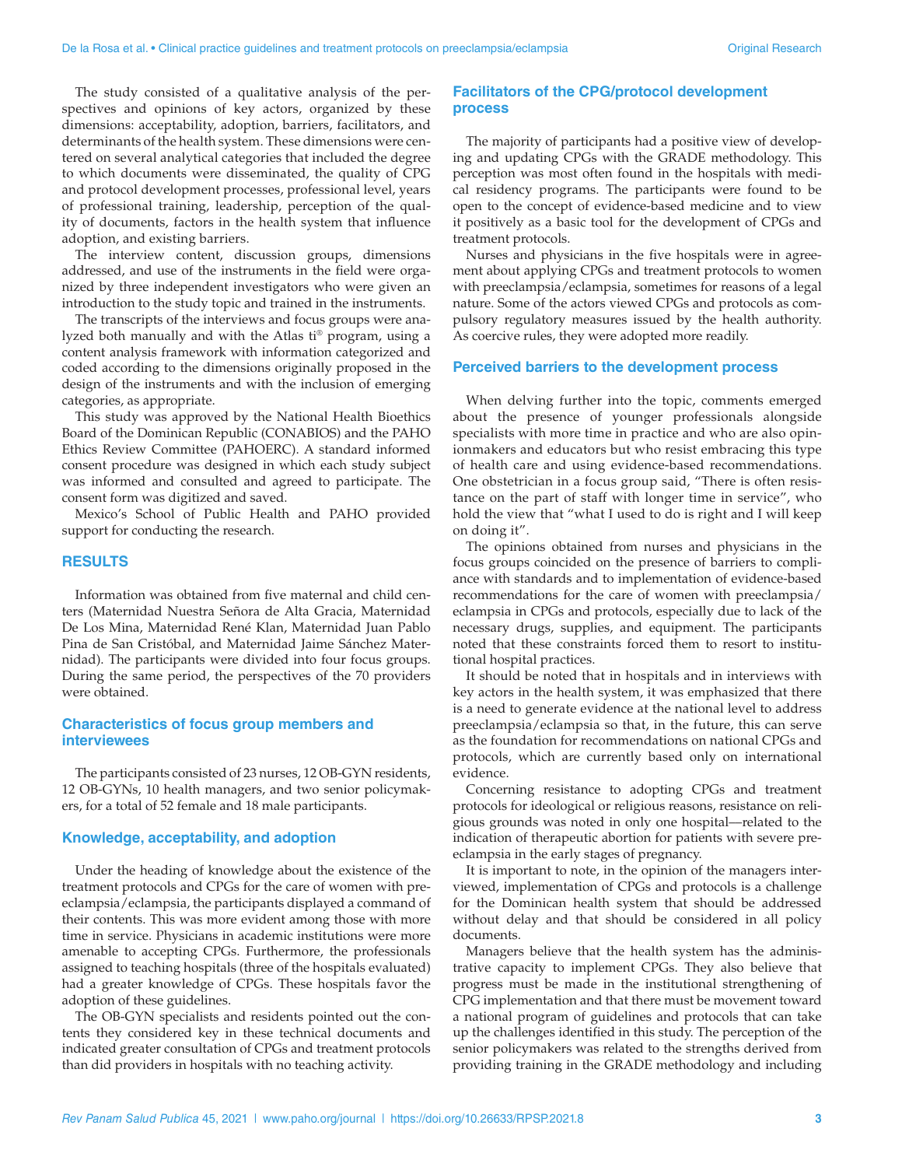The study consisted of a qualitative analysis of the perspectives and opinions of key actors, organized by these dimensions: acceptability, adoption, barriers, facilitators, and determinants of the health system. These dimensions were centered on several analytical categories that included the degree to which documents were disseminated, the quality of CPG and protocol development processes, professional level, years of professional training, leadership, perception of the quality of documents, factors in the health system that influence adoption, and existing barriers.

The interview content, discussion groups, dimensions addressed, and use of the instruments in the field were organized by three independent investigators who were given an introduction to the study topic and trained in the instruments.

The transcripts of the interviews and focus groups were analyzed both manually and with the Atlas ti® program, using a content analysis framework with information categorized and coded according to the dimensions originally proposed in the design of the instruments and with the inclusion of emerging categories, as appropriate.

This study was approved by the National Health Bioethics Board of the Dominican Republic (CONABIOS) and the PAHO Ethics Review Committee (PAHOERC). A standard informed consent procedure was designed in which each study subject was informed and consulted and agreed to participate. The consent form was digitized and saved.

Mexico's School of Public Health and PAHO provided support for conducting the research.

#### **RESULTS**

Information was obtained from five maternal and child centers (Maternidad Nuestra Señora de Alta Gracia, Maternidad De Los Mina, Maternidad René Klan, Maternidad Juan Pablo Pina de San Cristóbal, and Maternidad Jaime Sánchez Maternidad). The participants were divided into four focus groups. During the same period, the perspectives of the 70 providers were obtained.

### **Characteristics of focus group members and interviewees**

The participants consisted of 23 nurses, 12 OB-GYN residents, 12 OB-GYNs, 10 health managers, and two senior policymakers, for a total of 52 female and 18 male participants.

#### **Knowledge, acceptability, and adoption**

Under the heading of knowledge about the existence of the treatment protocols and CPGs for the care of women with preeclampsia/eclampsia, the participants displayed a command of their contents. This was more evident among those with more time in service. Physicians in academic institutions were more amenable to accepting CPGs. Furthermore, the professionals assigned to teaching hospitals (three of the hospitals evaluated) had a greater knowledge of CPGs. These hospitals favor the adoption of these guidelines.

The OB-GYN specialists and residents pointed out the contents they considered key in these technical documents and indicated greater consultation of CPGs and treatment protocols than did providers in hospitals with no teaching activity.

### **Facilitators of the CPG/protocol development process**

The majority of participants had a positive view of developing and updating CPGs with the GRADE methodology. This perception was most often found in the hospitals with medical residency programs. The participants were found to be open to the concept of evidence-based medicine and to view it positively as a basic tool for the development of CPGs and treatment protocols.

Nurses and physicians in the five hospitals were in agreement about applying CPGs and treatment protocols to women with preeclampsia/eclampsia, sometimes for reasons of a legal nature. Some of the actors viewed CPGs and protocols as compulsory regulatory measures issued by the health authority. As coercive rules, they were adopted more readily.

#### **Perceived barriers to the development process**

When delving further into the topic, comments emerged about the presence of younger professionals alongside specialists with more time in practice and who are also opinionmakers and educators but who resist embracing this type of health care and using evidence-based recommendations. One obstetrician in a focus group said, "There is often resistance on the part of staff with longer time in service", who hold the view that "what I used to do is right and I will keep on doing it".

The opinions obtained from nurses and physicians in the focus groups coincided on the presence of barriers to compliance with standards and to implementation of evidence-based recommendations for the care of women with preeclampsia/ eclampsia in CPGs and protocols, especially due to lack of the necessary drugs, supplies, and equipment. The participants noted that these constraints forced them to resort to institutional hospital practices.

It should be noted that in hospitals and in interviews with key actors in the health system, it was emphasized that there is a need to generate evidence at the national level to address preeclampsia/eclampsia so that, in the future, this can serve as the foundation for recommendations on national CPGs and protocols, which are currently based only on international evidence.

Concerning resistance to adopting CPGs and treatment protocols for ideological or religious reasons, resistance on religious grounds was noted in only one hospital––related to the indication of therapeutic abortion for patients with severe preeclampsia in the early stages of pregnancy.

It is important to note, in the opinion of the managers interviewed, implementation of CPGs and protocols is a challenge for the Dominican health system that should be addressed without delay and that should be considered in all policy documents.

Managers believe that the health system has the administrative capacity to implement CPGs. They also believe that progress must be made in the institutional strengthening of CPG implementation and that there must be movement toward a national program of guidelines and protocols that can take up the challenges identified in this study. The perception of the senior policymakers was related to the strengths derived from providing training in the GRADE methodology and including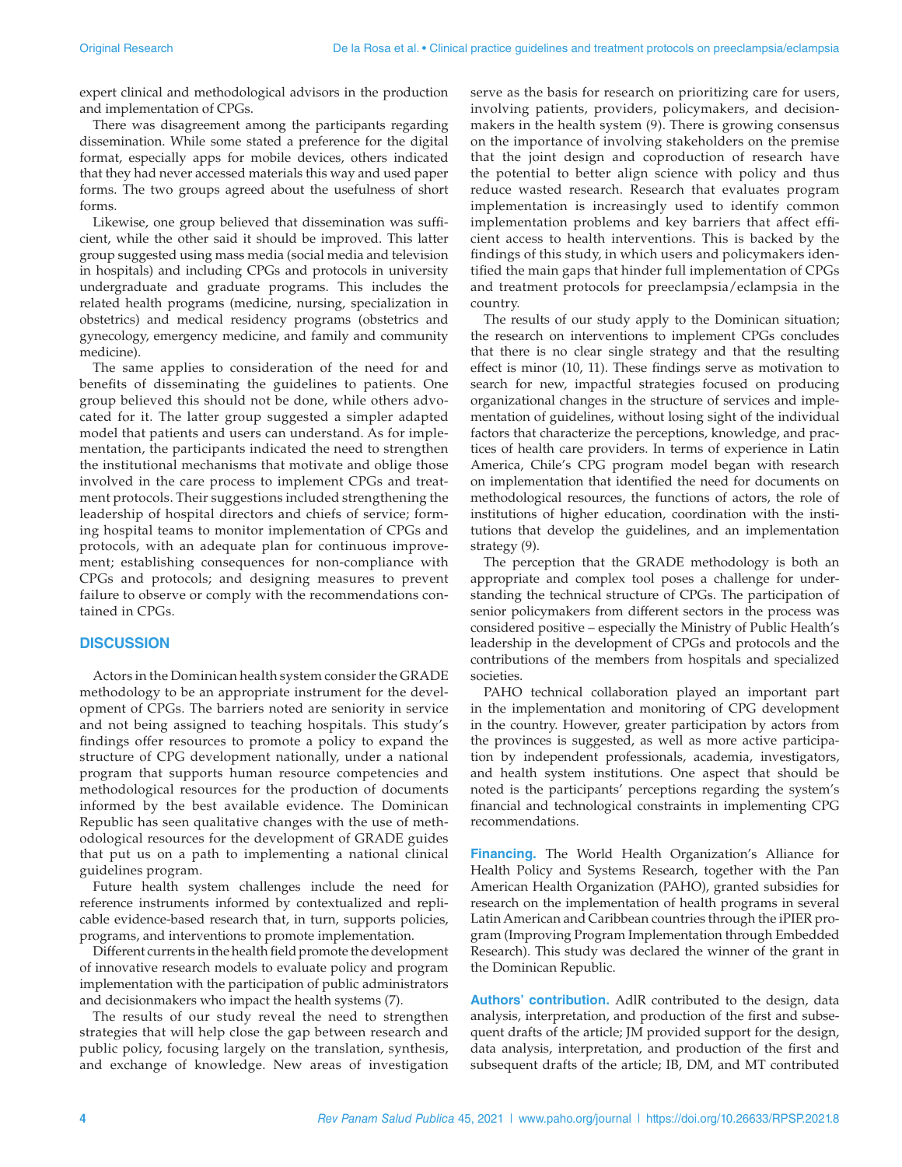expert clinical and methodological advisors in the production and implementation of CPGs.

There was disagreement among the participants regarding dissemination. While some stated a preference for the digital format, especially apps for mobile devices, others indicated that they had never accessed materials this way and used paper forms. The two groups agreed about the usefulness of short forms.

Likewise, one group believed that dissemination was sufficient, while the other said it should be improved. This latter group suggested using mass media (social media and television in hospitals) and including CPGs and protocols in university undergraduate and graduate programs. This includes the related health programs (medicine, nursing, specialization in obstetrics) and medical residency programs (obstetrics and gynecology, emergency medicine, and family and community medicine).

The same applies to consideration of the need for and benefits of disseminating the guidelines to patients. One group believed this should not be done, while others advocated for it. The latter group suggested a simpler adapted model that patients and users can understand. As for implementation, the participants indicated the need to strengthen the institutional mechanisms that motivate and oblige those involved in the care process to implement CPGs and treatment protocols. Their suggestions included strengthening the leadership of hospital directors and chiefs of service; forming hospital teams to monitor implementation of CPGs and protocols, with an adequate plan for continuous improvement; establishing consequences for non-compliance with CPGs and protocols; and designing measures to prevent failure to observe or comply with the recommendations contained in CPGs.

#### **DISCUSSION**

Actors in the Dominican health system consider the GRADE methodology to be an appropriate instrument for the development of CPGs. The barriers noted are seniority in service and not being assigned to teaching hospitals. This study's findings offer resources to promote a policy to expand the structure of CPG development nationally, under a national program that supports human resource competencies and methodological resources for the production of documents informed by the best available evidence. The Dominican Republic has seen qualitative changes with the use of methodological resources for the development of GRADE guides that put us on a path to implementing a national clinical guidelines program.

Future health system challenges include the need for reference instruments informed by contextualized and replicable evidence-based research that, in turn, supports policies, programs, and interventions to promote implementation.

Different currents in the health field promote the development of innovative research models to evaluate policy and program implementation with the participation of public administrators and decisionmakers who impact the health systems (7).

The results of our study reveal the need to strengthen strategies that will help close the gap between research and public policy, focusing largely on the translation, synthesis, and exchange of knowledge. New areas of investigation serve as the basis for research on prioritizing care for users, involving patients, providers, policymakers, and decisionmakers in the health system (9). There is growing consensus on the importance of involving stakeholders on the premise that the joint design and coproduction of research have the potential to better align science with policy and thus reduce wasted research. Research that evaluates program implementation is increasingly used to identify common implementation problems and key barriers that affect efficient access to health interventions. This is backed by the findings of this study, in which users and policymakers identified the main gaps that hinder full implementation of CPGs and treatment protocols for preeclampsia/eclampsia in the country.

The results of our study apply to the Dominican situation; the research on interventions to implement CPGs concludes that there is no clear single strategy and that the resulting effect is minor (10, 11). These findings serve as motivation to search for new, impactful strategies focused on producing organizational changes in the structure of services and implementation of guidelines, without losing sight of the individual factors that characterize the perceptions, knowledge, and practices of health care providers. In terms of experience in Latin America, Chile's CPG program model began with research on implementation that identified the need for documents on methodological resources, the functions of actors, the role of institutions of higher education, coordination with the institutions that develop the guidelines, and an implementation strategy (9).

The perception that the GRADE methodology is both an appropriate and complex tool poses a challenge for understanding the technical structure of CPGs. The participation of senior policymakers from different sectors in the process was considered positive – especially the Ministry of Public Health's leadership in the development of CPGs and protocols and the contributions of the members from hospitals and specialized societies.

PAHO technical collaboration played an important part in the implementation and monitoring of CPG development in the country. However, greater participation by actors from the provinces is suggested, as well as more active participation by independent professionals, academia, investigators, and health system institutions. One aspect that should be noted is the participants' perceptions regarding the system's financial and technological constraints in implementing CPG recommendations.

**Financing.** The World Health Organization's Alliance for Health Policy and Systems Research, together with the Pan American Health Organization (PAHO), granted subsidies for research on the implementation of health programs in several Latin American and Caribbean countries through the iPIER program (Improving Program Implementation through Embedded Research). This study was declared the winner of the grant in the Dominican Republic.

**Authors' contribution.** AdlR contributed to the design, data analysis, interpretation, and production of the first and subsequent drafts of the article; JM provided support for the design, data analysis, interpretation, and production of the first and subsequent drafts of the article; IB, DM, and MT contributed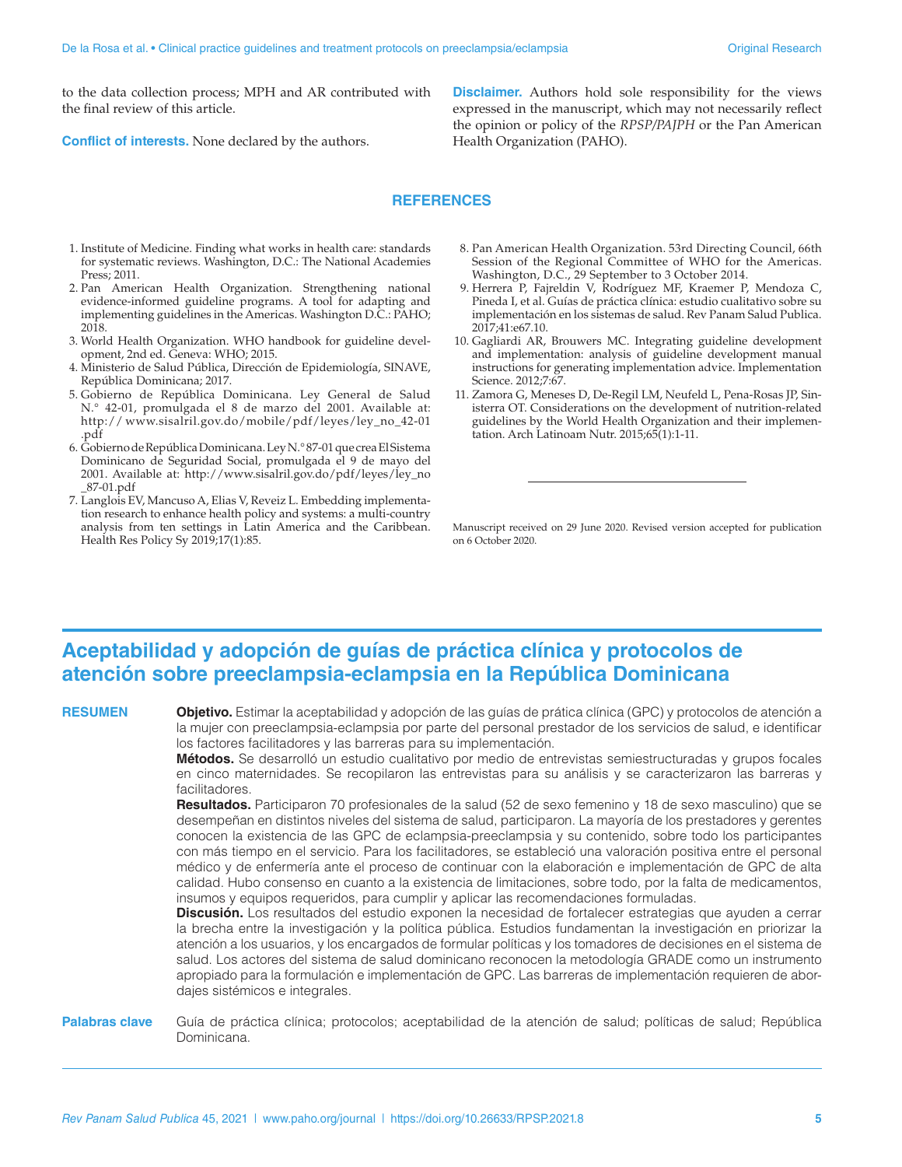to the data collection process; MPH and AR contributed with the final review of this article.

**Conflict of interests.** None declared by the authors.

**Disclaimer.** Authors hold sole responsibility for the views expressed in the manuscript, which may not necessarily reflect the opinion or policy of the *RPSP/PAJPH* or the Pan American Health Organization (PAHO).

#### **REFERENCES**

- 1. Institute of Medicine. Finding what works in health care: standards for systematic reviews. Washington, D.C.: The National Academies Press; 2011.
- 2. Pan American Health Organization. Strengthening national evidence-informed guideline programs. A tool for adapting and implementing guidelines in the Americas. Washington D.C.: PAHO; 2018.
- 3. World Health Organization. WHO handbook for guideline development, 2nd ed. Geneva: WHO; 2015.
- 4. Ministerio de Salud Pública, Dirección de Epidemiología, SINAVE, República Dominicana; 2017.
- 5. Gobierno de República Dominicana. Ley General de Salud N.° 42-01, promulgada el 8 de marzo del 2001. Available at: http:// [www.sisalril.gov.do/mobile/pdf/leyes/ley\\_no\\_42-01](http:// www.sisalril.gov.do/mobile/pdf/leyes/ley_no_42-01.pdf) [.pdf](http:// www.sisalril.gov.do/mobile/pdf/leyes/ley_no_42-01.pdf)
- 6. Gobierno de República Dominicana. Ley N.° 87-01 que crea El Sistema Dominicano de Seguridad Social, promulgada el 9 de mayo del 2001. Available at: [http://www.sisalril.gov.do/pdf/leyes/ley\\_no](http://www.sisalril.gov.do/pdf/leyes/ ley_no_87-01.pdf) [\\_87-01.pdf](http://www.sisalril.gov.do/pdf/leyes/ ley_no_87-01.pdf)
- 7. Langlois EV, Mancuso A, Elias V, Reveiz L. Embedding implementation research to enhance health policy and systems: a multi-country analysis from ten settings in Latin America and the Caribbean. Health Res Policy Sy 2019;17(1):85.
- 8. Pan American Health Organization. 53rd Directing Council, 66th Session of the Regional Committee of WHO for the Americas. Washington, D.C., 29 September to 3 October 2014.
- 9. Herrera P, Fajreldin V, Rodríguez MF, Kraemer P, Mendoza C, Pineda I, et al. Guías de práctica clínica: estudio cualitativo sobre su implementación en los sistemas de salud. Rev Panam Salud Publica. 2017;41:e67.10.
- 10. Gagliardi AR, Brouwers MC. Integrating guideline development and implementation: analysis of guideline development manual instructions for generating implementation advice. Implementation Science. 2012;7:67.
- 11. Zamora G, Meneses D, De-Regil LM, Neufeld L, Pena-Rosas JP, Sinisterra OT. Considerations on the development of nutrition-related guidelines by the World Health Organization and their implementation. Arch Latinoam Nutr. 2015;65(1):1-11.

Manuscript received on 29 June 2020. Revised version accepted for publication on 6 October 2020.

## **Aceptabilidad y adopción de guías de práctica clínica y protocolos de atención sobre preeclampsia-eclampsia en la República Dominicana**

**RESUMEN Objetivo.** Estimar la aceptabilidad y adopción de las guías de prática clínica (GPC) y protocolos de atención a la mujer con preeclampsia-eclampsia por parte del personal prestador de los servicios de salud, e identificar los factores facilitadores y las barreras para su implementación.

> **Métodos.** Se desarrolló un estudio cualitativo por medio de entrevistas semiestructuradas y grupos focales en cinco maternidades. Se recopilaron las entrevistas para su análisis y se caracterizaron las barreras y facilitadores.

> **Resultados.** Participaron 70 profesionales de la salud (52 de sexo femenino y 18 de sexo masculino) que se desempeñan en distintos niveles del sistema de salud, participaron. La mayoría de los prestadores y gerentes conocen la existencia de las GPC de eclampsia-preeclampsia y su contenido, sobre todo los participantes con más tiempo en el servicio. Para los facilitadores, se estableció una valoración positiva entre el personal médico y de enfermería ante el proceso de continuar con la elaboración e implementación de GPC de alta calidad. Hubo consenso en cuanto a la existencia de limitaciones, sobre todo, por la falta de medicamentos, insumos y equipos requeridos, para cumplir y aplicar las recomendaciones formuladas.

> **Discusión.** Los resultados del estudio exponen la necesidad de fortalecer estrategias que ayuden a cerrar la brecha entre la investigación y la política pública. Estudios fundamentan la investigación en priorizar la atención a los usuarios, y los encargados de formular políticas y los tomadores de decisiones en el sistema de salud. Los actores del sistema de salud dominicano reconocen la metodología GRADE como un instrumento apropiado para la formulación e implementación de GPC. Las barreras de implementación requieren de abordajes sistémicos e integrales.

**Palabras clave** Guía de práctica clínica; protocolos; aceptabilidad de la atención de salud; políticas de salud; República Dominicana.